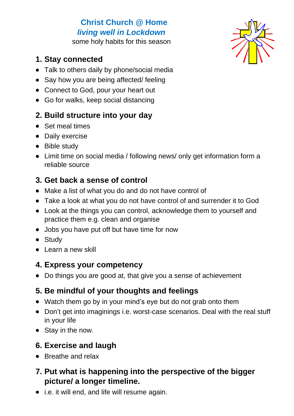# **Christ Church @ Home** *living well in Lockdown*

some holy habits for this season

#### **1. Stay connected**

- Talk to others daily by phone/social media
- Say how you are being affected/ feeling
- Connect to God, pour your heart out
- Go for walks, keep social distancing

### **2. Build structure into your day**

- Set meal times
- Daily exercise
- Bible study
- Limit time on social media / following news/ only get information form a reliable source

# **3. Get back a sense of control**

- Make a list of what you do and do not have control of
- Take a look at what you do not have control of and surrender it to God
- Look at the things you can control, acknowledge them to yourself and practice them e.g. clean and organise
- Jobs you have put off but have time for now
- Study
- Learn a new skill

### **4. Express your competency**

• Do things you are good at, that give you a sense of achievement

# **5. Be mindful of your thoughts and feelings**

- Watch them go by in your mind's eye but do not grab onto them
- Don't get into imaginings i.e. worst-case scenarios. Deal with the real stuff in your life
- Stay in the now.

# **6. Exercise and laugh**

• Breathe and relax

### **7. Put what is happening into the perspective of the bigger picture/ a longer timeline.**

• i.e. it will end, and life will resume again.